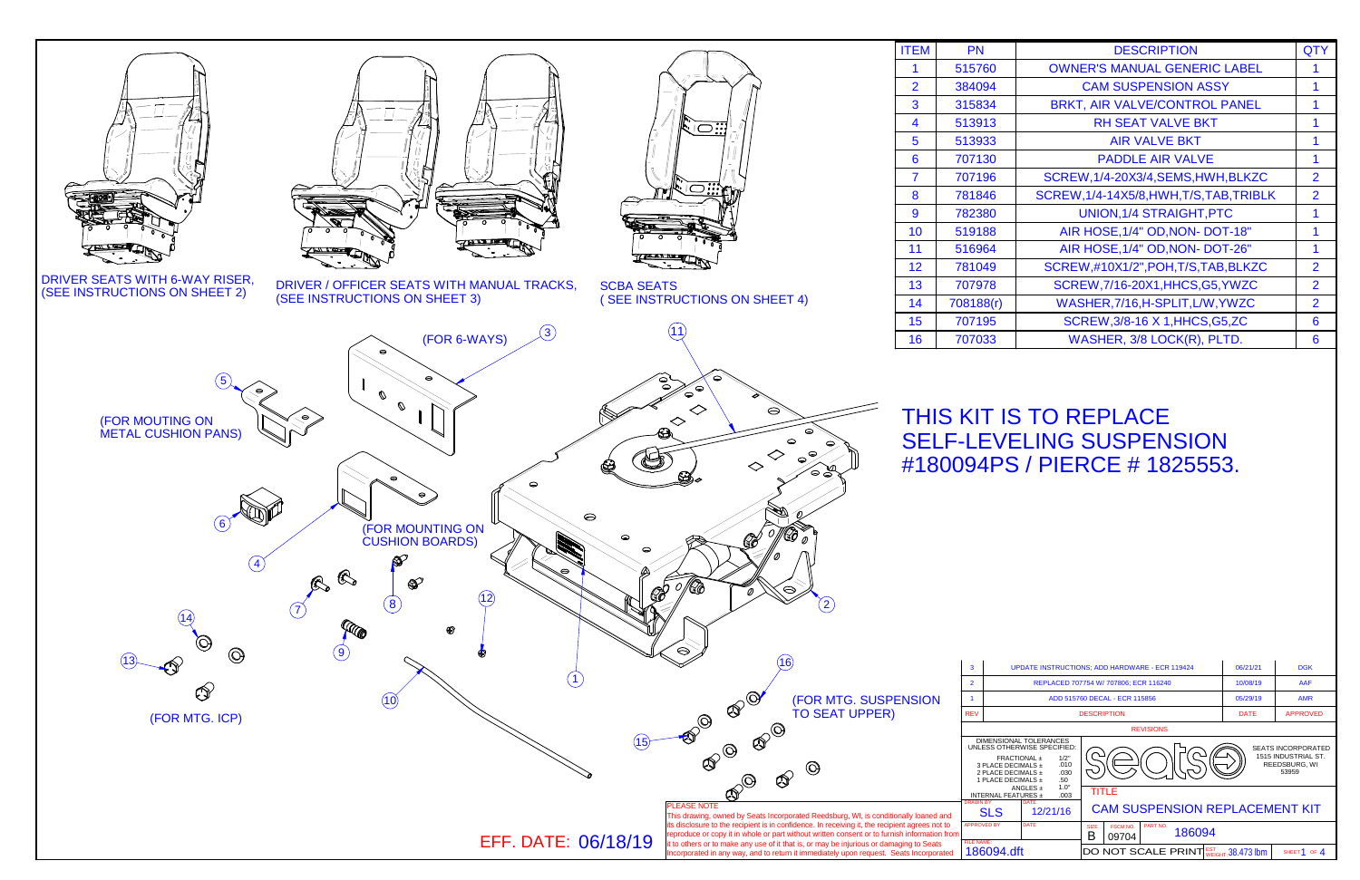

| <b>EM</b>                      | PN                                                                                                                                                                                                                                                                |                    |                                       | <b>DESCRIPTION</b>                                        |                                                                            | <b>QTY</b>              |
|--------------------------------|-------------------------------------------------------------------------------------------------------------------------------------------------------------------------------------------------------------------------------------------------------------------|--------------------|---------------------------------------|-----------------------------------------------------------|----------------------------------------------------------------------------|-------------------------|
| 1                              | 515760                                                                                                                                                                                                                                                            |                    |                                       | <b>OWNER'S MANUAL GENERIC LABEL</b>                       |                                                                            | 1                       |
| $\overline{2}$                 | 384094                                                                                                                                                                                                                                                            |                    |                                       | <b>CAM SUSPENSION ASSY</b>                                |                                                                            | 1                       |
| $\overline{\mathbf{3}}$        | 315834                                                                                                                                                                                                                                                            |                    |                                       | BRKT, AIR VALVE/CONTROL PANEL                             |                                                                            | 1                       |
| 4                              | 513913                                                                                                                                                                                                                                                            |                    |                                       | <b>RH SEAT VALVE BKT</b>                                  |                                                                            | 1                       |
| 5                              | 513933                                                                                                                                                                                                                                                            |                    |                                       | <b>AIR VALVE BKT</b>                                      |                                                                            | 1                       |
| $\overline{6}$                 | 707130                                                                                                                                                                                                                                                            |                    |                                       | <b>PADDLE AIR VALVE</b>                                   |                                                                            | 1                       |
| $\overline{\overline{7}}$      | 707196                                                                                                                                                                                                                                                            |                    |                                       | SCREW, 1/4-20X3/4, SEMS, HWH, BLKZC                       |                                                                            | $\overline{2}$          |
| $\overline{\mathbf{8}}$        | 781846                                                                                                                                                                                                                                                            |                    |                                       | SCREW, 1/4-14X5/8, HWH, T/S, TAB, TRIBLK                  |                                                                            | $\overline{2}$          |
| 9                              | 782380                                                                                                                                                                                                                                                            |                    |                                       | <b>UNION, 1/4 STRAIGHT, PTC</b>                           |                                                                            | 1                       |
| $\overline{0}$                 | 519188                                                                                                                                                                                                                                                            |                    | AIR HOSE, 1/4" OD, NON- DOT-18"       |                                                           | 1                                                                          |                         |
| $\overline{1}$                 | 516964                                                                                                                                                                                                                                                            |                    |                                       | AIR HOSE, 1/4" OD, NON- DOT-26"                           |                                                                            | 1                       |
| 12                             | 781049                                                                                                                                                                                                                                                            |                    | SCREW, #10X1/2", POH, T/S, TAB, BLKZC |                                                           | $\overline{2}$                                                             |                         |
| 13                             | 707978                                                                                                                                                                                                                                                            |                    |                                       | SCREW, 7/16-20X1, HHCS, G5, YWZC                          |                                                                            | $\overline{2}$          |
| 14                             | 708188(r)                                                                                                                                                                                                                                                         |                    |                                       | WASHER, 7/16, H-SPLIT, L/W, YWZC                          |                                                                            | $\overline{2}$          |
| 15                             | 707195                                                                                                                                                                                                                                                            |                    |                                       | SCREW, 3/8-16 X 1, HHCS, G5, ZC                           |                                                                            | $6\phantom{1}6$         |
| 16                             | 707033                                                                                                                                                                                                                                                            |                    |                                       | WASHER, 3/8 LOCK(R), PLTD.                                |                                                                            | 6                       |
|                                |                                                                                                                                                                                                                                                                   |                    |                                       | 180094PS / PIERCE # 1825553.                              |                                                                            |                         |
|                                | 3                                                                                                                                                                                                                                                                 |                    |                                       | <b>UPDATE INSTRUCTIONS; ADD HARDWARE - ECR 119424</b>     | 06/21/21                                                                   | <b>DGK</b>              |
|                                | $\overline{2}$                                                                                                                                                                                                                                                    |                    |                                       | REPLACED 707754 W/ 707806; ECR 116240                     | 10/08/19                                                                   | AAF                     |
| <b>SION</b>                    | $\mathbf{1}$                                                                                                                                                                                                                                                      |                    |                                       | ADD 515760 DECAL - ECR 115856                             | 05/29/19                                                                   | <b>AMR</b>              |
|                                | <b>REV</b>                                                                                                                                                                                                                                                        |                    |                                       | <b>DESCRIPTION</b>                                        | <b>DATE</b>                                                                | <b>APPROVED</b>         |
|                                | <b>REVISIONS</b><br>DIMENSIONAL TOLERANCES<br>UNLESS OTHERWISE SPECIFIED:<br>FRACTIONAL ±<br>1/2"<br>3 PLACE DECIMALS ±<br>.010<br>2 PLACE DECIMALS ±<br>.030<br>.50<br>1 PLACE DECIMALS ±<br>$1.0^\circ$<br>ANGLES $\pm$<br>TITLE<br>INTERNAL FEATURES ±<br>.003 |                    |                                       |                                                           | <b>SEATS INCORPORATED</b><br>1515 INDUSTRIAL ST.<br>REEDSBURG, WI<br>53959 |                         |
| <sup>t</sup> loaned and        | <b>DRAWN BY</b>                                                                                                                                                                                                                                                   | SLS                | 12/21/16                              | <b>CAM SUSPENSION REPLACEMENT KIT</b>                     |                                                                            |                         |
| grees not to<br>formation from |                                                                                                                                                                                                                                                                   | <b>APPROVED BY</b> | <b>DATE</b>                           | <b>SIZE</b><br><b>FSCM NO.</b><br>PART NO.<br>186094<br>B |                                                                            |                         |
| to Seats<br>Incorporated       | <b>FILE NAME:</b>                                                                                                                                                                                                                                                 | 186094.dft         |                                       | 09704<br>DO NOT SCALE PRINT WEIGHT: 38.473 lbm            |                                                                            | SHEET <sup>1</sup> OF 4 |

SHEET 1 OF  $4$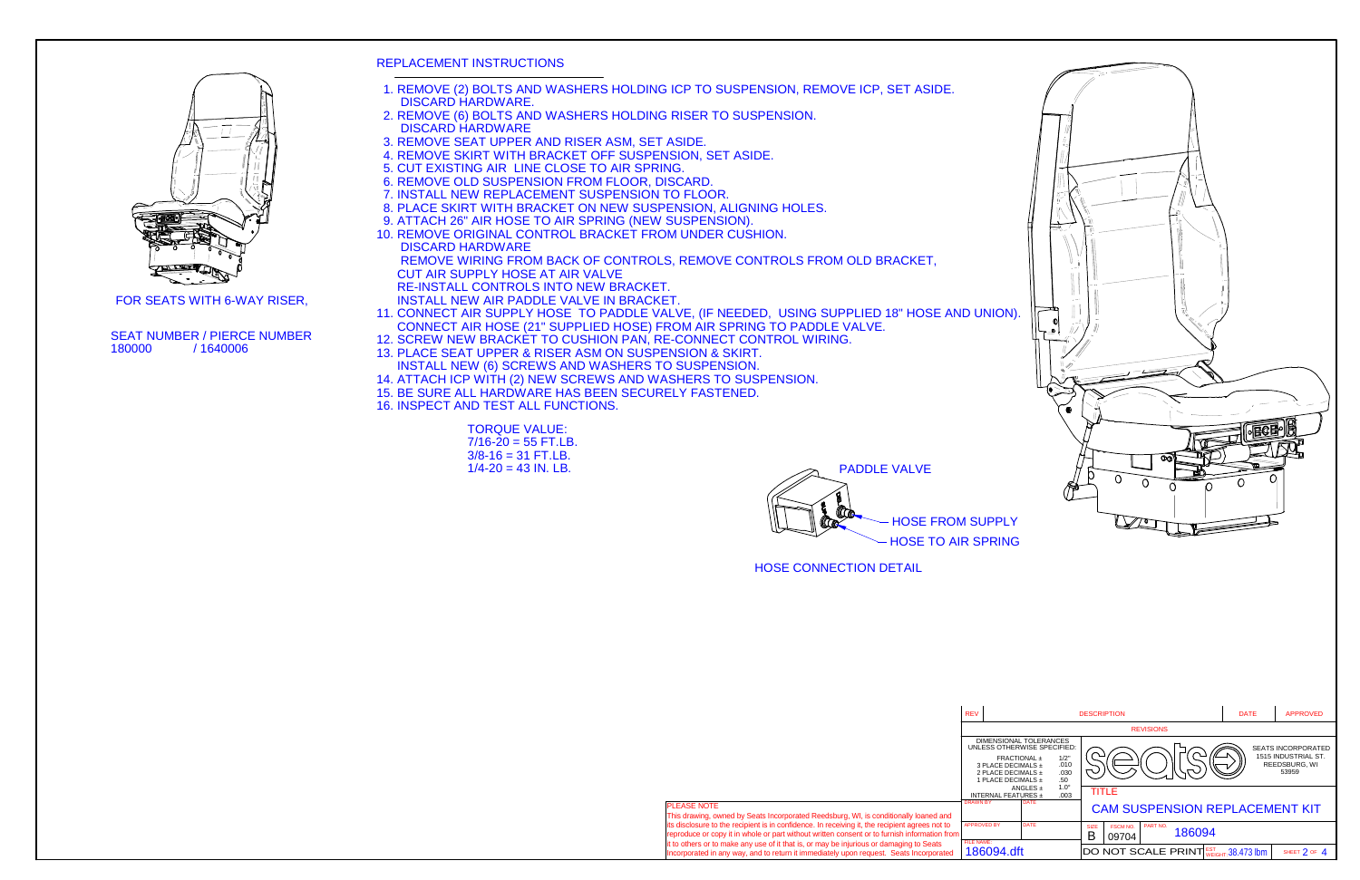PADDLE VALVE**Carolline** 



FOR SEATS WITH 6-WAY RISER,



- REPLACEMENT INSTRUCTIONS
- 1. REMOVE (2) BOLTS AND WASHERS HOLDING ICP TO SUSPENSION, REMOVE ICP, SET ASIDE.DISCARD HARDWARE.
- 2. REMOVE (6) BOLTS AND WASHERS HOLDING RISER TO SUSPENSION.DISCARD HARDWARE
- 3. REMOVE SEAT UPPER AND RISER ASM, SET ASIDE.
- 4. REMOVE SKIRT WITH BRACKET OFF SUSPENSION, SET ASIDE.
- 5. CUT EXISTING AIR LINE CLOSE TO AIR SPRING.
- 6. REMOVE OLD SUSPENSION FROM FLOOR, DISCARD.
- 7. INSTALL NEW REPLACEMENT SUSPENSION TO FLOOR.
- 8. PLACE SKIRT WITH BRACKET ON NEW SUSPENSION, ALIGNING HOLES.
- 9. ATTACH 26" AIR HOSE TO AIR SPRING (NEW SUSPENSION).
- 10. REMOVE ORIGINAL CONTROL BRACKET FROM UNDER CUSHION. DISCARD HARDWARE

REMOVE WIRING FROM BACK OF CONTROLS, REMOVE CONTROLS FROM OLD BRACKET,

- CUT AIR SUPPLY HOSE AT AIR VALVE
- RE-INSTALL CONTROLS INTO NEW BRACKET.

INSTALL NEW AIR PADDLE VALVE IN BRACKET.

 11. CONNECT AIR SUPPLY HOSE TO PADDLE VALVE, (IF NEEDED, USING SUPPLIED 18" HOSE AND UNION).CONNECT AIR HOSE (21" SUPPLIED HOSE) FROM AIR SPRING TO PADDLE VALVE.

**EASE NOTE** 

- 12. SCREW NEW BRACKET TO CUSHION PAN, RE-CONNECT CONTROL WIRING.
- 13. PLACE SEAT UPPER & RISER ASM ON SUSPENSION & SKIRT.INSTALL NEW (6) SCREWS AND WASHERS TO SUSPENSION.
- 14. ATTACH ICP WITH (2) NEW SCREWS AND WASHERS TO SUSPENSION.
- 15. BE SURE ALL HARDWARE HAS BEEN SECURELY FASTENED.
- 16. INSPECT AND TEST ALL FUNCTIONS.

TORQUE VALUE: 7/16-20 = 55 FT.LB. $3/8 - 16 = 31$  FT.LB. 1/4-20 = 43 IN. LB.

SEAT NUMBER / PIERCE NUMBER180000 / 1640006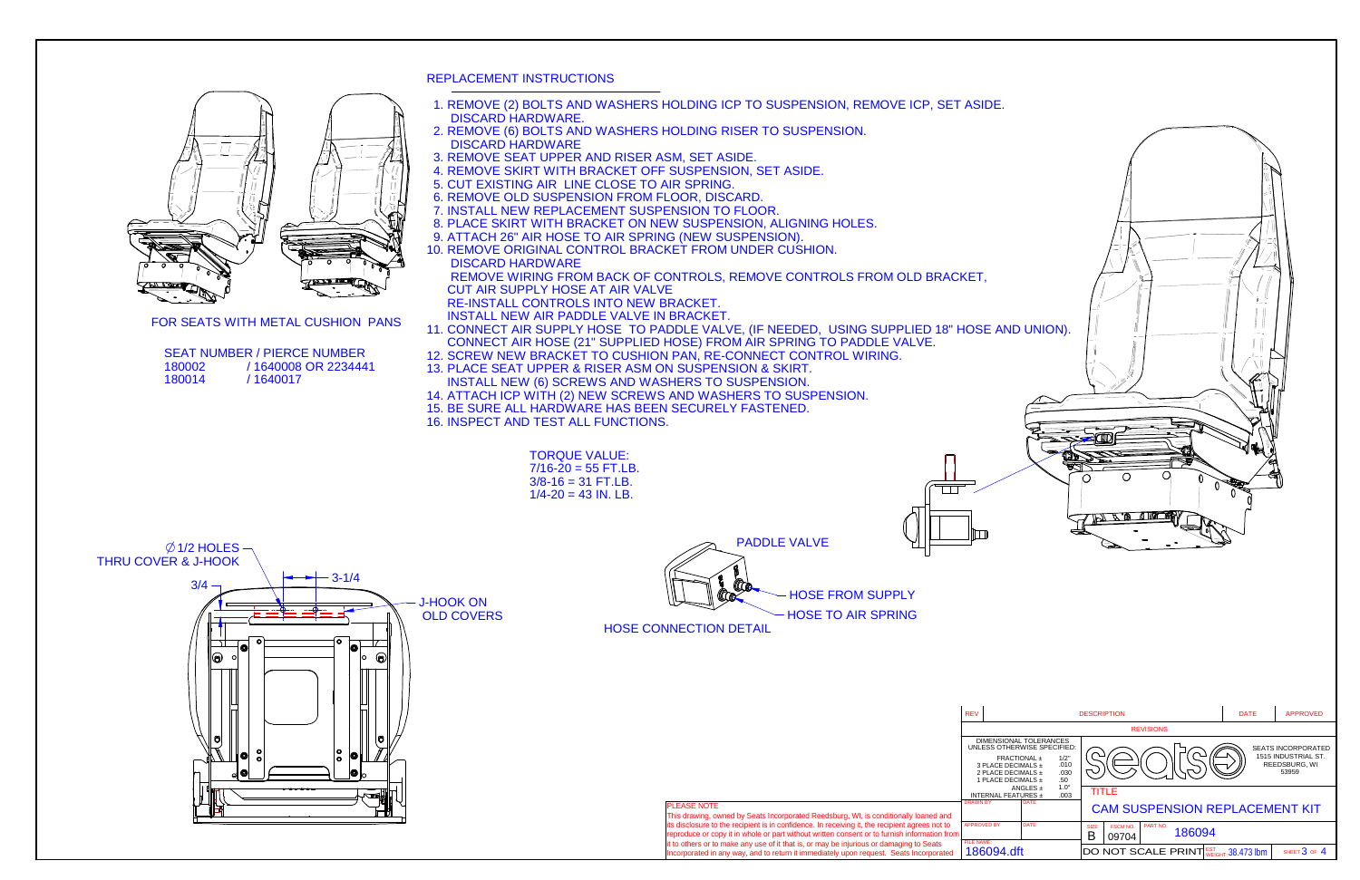REV

 $\overline{\mathsf{L}}$ 

DRAWN BY





FOR SEATS WITH METAL CUSHION PANS

3/4

lo)

THRU COVER & J-HOOK

 $\emptyset$  1/2 HOLES

TORQUE VALUE: 7/16-20 = 55 FT.LB. $3/8 - 16 = 31$  FT.LB. 1/4-20 = 43 IN. LB.PADDLE VALVE $4 \frac{1}{2}$ HOSE FROM SUPPLYJ-HOOK ONHOSE TO AIR SPRING OLD COVERSHOSE CONNECTION DETAIL1e  $\circledcirc$ 

- REPLACEMENT INSTRUCTIONS
- 1. REMOVE (2) BOLTS AND WASHERS HOLDING ICP TO SUSPENSION, REMOVE ICP, SET ASIDE.DISCARD HARDWARE.
- 2. REMOVE (6) BOLTS AND WASHERS HOLDING RISER TO SUSPENSION.DISCARD HARDWARE
- 3. REMOVE SEAT UPPER AND RISER ASM, SET ASIDE.
- 4. REMOVE SKIRT WITH BRACKET OFF SUSPENSION, SET ASIDE.
- 5. CUT EXISTING AIR LINE CLOSE TO AIR SPRING.
- 6. REMOVE OLD SUSPENSION FROM FLOOR, DISCARD.
- 7. INSTALL NEW REPLACEMENT SUSPENSION TO FLOOR.
- 8. PLACE SKIRT WITH BRACKET ON NEW SUSPENSION, ALIGNING HOLES.
- 9. ATTACH 26" AIR HOSE TO AIR SPRING (NEW SUSPENSION).
- 10. REMOVE ORIGINAL CONTROL BRACKET FROM UNDER CUSHION. DISCARD HARDWARE

 REMOVE WIRING FROM BACK OF CONTROLS, REMOVE CONTROLS FROM OLD BRACKET, CUT AIR SUPPLY HOSE AT AIR VALVE

- RE-INSTALL CONTROLS INTO NEW BRACKET.
- INSTALL NEW AIR PADDLE VALVE IN BRACKET. 11. CONNECT AIR SUPPLY HOSE TO PADDLE VALVE, (IF NEEDED, USING SUPPLIED 18" HOSE AND UNION).CONNECT AIR HOSE (21" SUPPLIED HOSE) FROM AIR SPRING TO PADDLE VALVE.
- 12. SCREW NEW BRACKET TO CUSHION PAN, RE-CONNECT CONTROL WIRING.
- 13. PLACE SEAT UPPER & RISER ASM ON SUSPENSION & SKIRT.INSTALL NEW (6) SCREWS AND WASHERS TO SUSPENSION.
- 14. ATTACH ICP WITH (2) NEW SCREWS AND WASHERS TO SUSPENSION.
- 15. BE SURE ALL HARDWARE HAS BEEN SECURELY FASTENED.
- 16. INSPECT AND TEST ALL FUNCTIONS.

| <b>SEAT NUMBER / PIERCE NUMBER</b> |                     |  |  |  |  |
|------------------------------------|---------------------|--|--|--|--|
| 180002                             | /1640008 OR 2234441 |  |  |  |  |
| 180014                             | /1640017            |  |  |  |  |